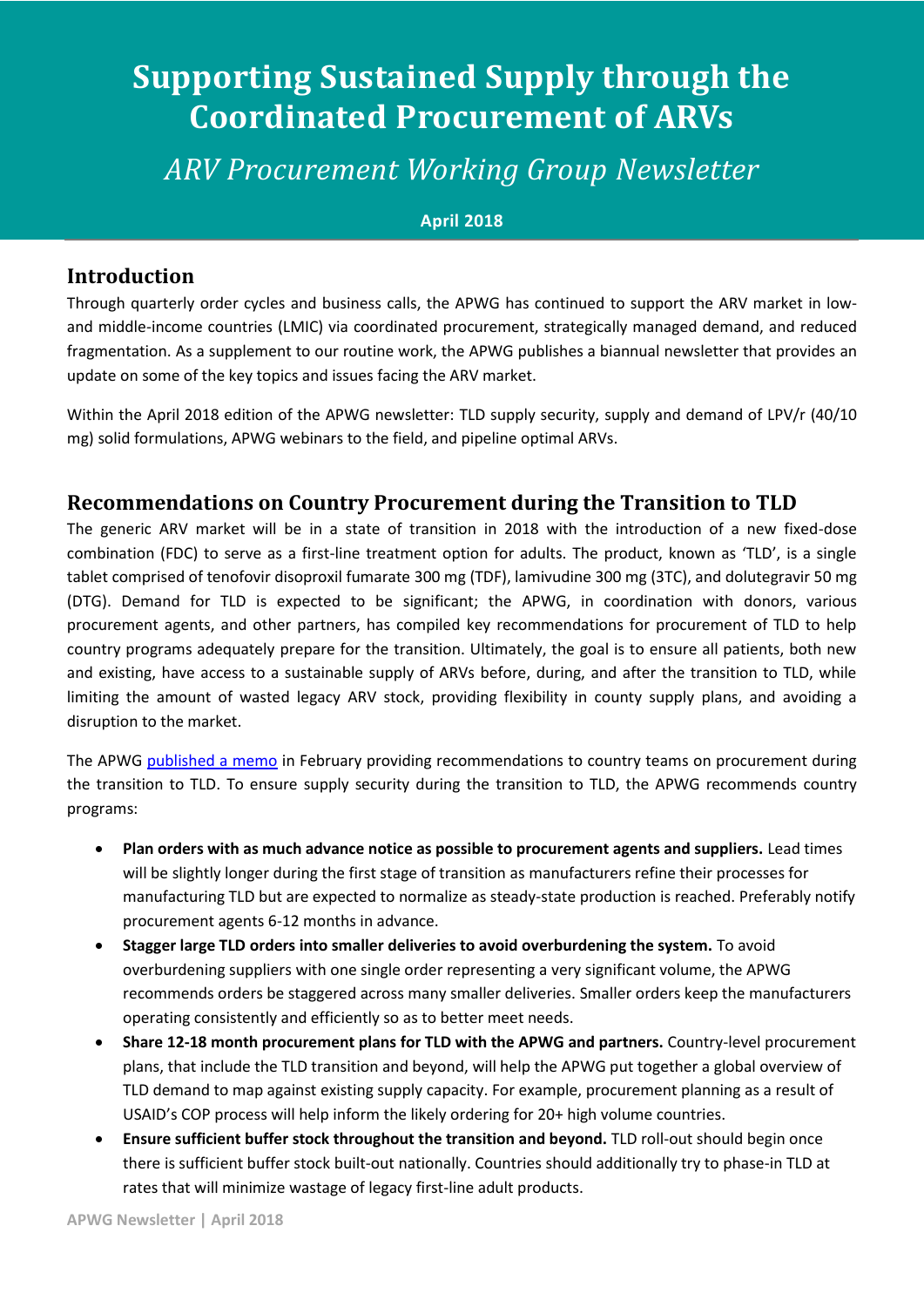# **Supporting Sustained Supply through the Coordinated Procurement of ARVs**

*ARV Procurement Working Group Newsletter*

#### **April 2018**

#### **Introduction**

Through quarterly order cycles and business calls, the APWG has continued to support the ARV market in lowand middle-income countries (LMIC) via coordinated procurement, strategically managed demand, and reduced fragmentation. As a supplement to our routine work, the APWG publishes a biannual newsletter that provides an update on some of the key topics and issues facing the ARV market.

Within the April 2018 edition of the APWG newsletter: TLD supply security, supply and demand of LPV/r (40/10 mg) solid formulations, APWG webinars to the field, and pipeline optimal ARVs.

## **Recommendations on Country Procurement during the Transition to TLD**

The generic ARV market will be in a state of transition in 2018 with the introduction of a new fixed-dose combination (FDC) to serve as a first-line treatment option for adults. The product, known as 'TLD', is a single tablet comprised of tenofovir disoproxil fumarate 300 mg (TDF), lamivudine 300 mg (3TC), and dolutegravir 50 mg (DTG). Demand for TLD is expected to be significant; the APWG, in coordination with donors, various procurement agents, and other partners, has compiled key recommendations for procurement of TLD to help country programs adequately prepare for the transition. Ultimately, the goal is to ensure all patients, both new and existing, have access to a sustainable supply of ARVs before, during, and after the transition to TLD, while limiting the amount of wasted legacy ARV stock, providing flexibility in county supply plans, and avoiding a disruption to the market.

The APWG [published a memo](https://www.theglobalfund.org/media/7162/psm_2018-02-arvwgtransitiontotld_memo_en.pdf?u=636537048980000000) in February providing recommendations to country teams on procurement during the transition to TLD. To ensure supply security during the transition to TLD, the APWG recommends country programs:

- **Plan orders with as much advance notice as possible to procurement agents and suppliers.** Lead times will be slightly longer during the first stage of transition as manufacturers refine their processes for manufacturing TLD but are expected to normalize as steady-state production is reached. Preferably notify procurement agents 6-12 months in advance.
- **Stagger large TLD orders into smaller deliveries to avoid overburdening the system.** To avoid overburdening suppliers with one single order representing a very significant volume, the APWG recommends orders be staggered across many smaller deliveries. Smaller orders keep the manufacturers operating consistently and efficiently so as to better meet needs.
- **•** Share 12-18 month procurement plans for TLD with the APWG and partners. Country-level procurement plans, that include the TLD transition and beyond, will help the APWG put together a global overview of TLD demand to map against existing supply capacity. For example, procurement planning as a result of USAID's COP process will help inform the likely ordering for 20+ high volume countries.
- **Ensure sufficient buffer stock throughout the transition and beyond.** TLD roll-out should begin once there is sufficient buffer stock built-out nationally. Countries should additionally try to phase-in TLD at rates that will minimize wastage of legacy first-line adult products.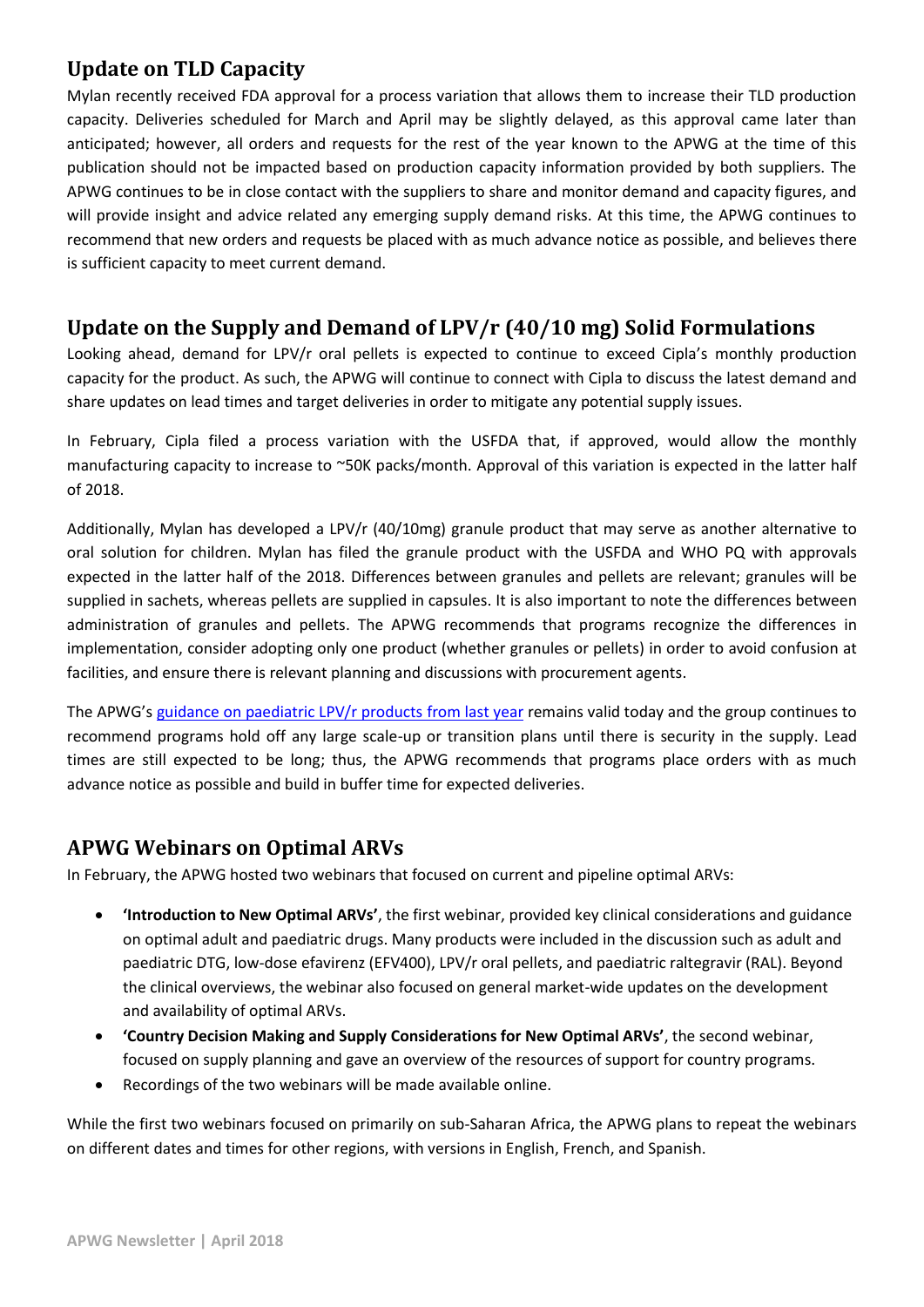## **Update on TLD Capacity**

Mylan recently received FDA approval for a process variation that allows them to increase their TLD production capacity. Deliveries scheduled for March and April may be slightly delayed, as this approval came later than anticipated; however, all orders and requests for the rest of the year known to the APWG at the time of this publication should not be impacted based on production capacity information provided by both suppliers. The APWG continues to be in close contact with the suppliers to share and monitor demand and capacity figures, and will provide insight and advice related any emerging supply demand risks. At this time, the APWG continues to recommend that new orders and requests be placed with as much advance notice as possible, and believes there is sufficient capacity to meet current demand.

## **Update on the Supply and Demand of LPV/r (40/10 mg) Solid Formulations**

Looking ahead, demand for LPV/r oral pellets is expected to continue to exceed Cipla's monthly production capacity for the product. As such, the APWG will continue to connect with Cipla to discuss the latest demand and share updates on lead times and target deliveries in order to mitigate any potential supply issues.

In February, Cipla filed a process variation with the USFDA that, if approved, would allow the monthly manufacturing capacity to increase to ~50K packs/month. Approval of this variation is expected in the latter half of 2018.

Additionally, Mylan has developed a LPV/r (40/10mg) granule product that may serve as another alternative to oral solution for children. Mylan has filed the granule product with the USFDA and WHO PQ with approvals expected in the latter half of the 2018. Differences between granules and pellets are relevant; granules will be supplied in sachets, whereas pellets are supplied in capsules. It is also important to note the differences between administration of granules and pellets. The APWG recommends that programs recognize the differences in implementation, consider adopting only one product (whether granules or pellets) in order to avoid confusion at facilities, and ensure there is relevant planning and discussions with procurement agents.

The APWG's [guidance on paediatric LPV/r products from last year](https://www.theglobalfund.org/media/6590/psm_2017-04-arvprocurementworkinggroup_memo_en.pdf) remains valid today and the group continues to recommend programs hold off any large scale-up or transition plans until there is security in the supply. Lead times are still expected to be long; thus, the APWG recommends that programs place orders with as much advance notice as possible and build in buffer time for expected deliveries.

#### **APWG Webinars on Optimal ARVs**

In February, the APWG hosted two webinars that focused on current and pipeline optimal ARVs:

- **'Introduction to New Optimal ARVs'**, the first webinar, provided key clinical considerations and guidance on optimal adult and paediatric drugs. Many products were included in the discussion such as adult and paediatric DTG, low-dose efavirenz (EFV400), LPV/r oral pellets, and paediatric raltegravir (RAL). Beyond the clinical overviews, the webinar also focused on general market-wide updates on the development and availability of optimal ARVs.
- **'Country Decision Making and Supply Considerations for New Optimal ARVs'**, the second webinar, focused on supply planning and gave an overview of the resources of support for country programs.
- Recordings of the two webinars will be made available online.

While the first two webinars focused on primarily on sub-Saharan Africa, the APWG plans to repeat the webinars on different dates and times for other regions, with versions in English, French, and Spanish.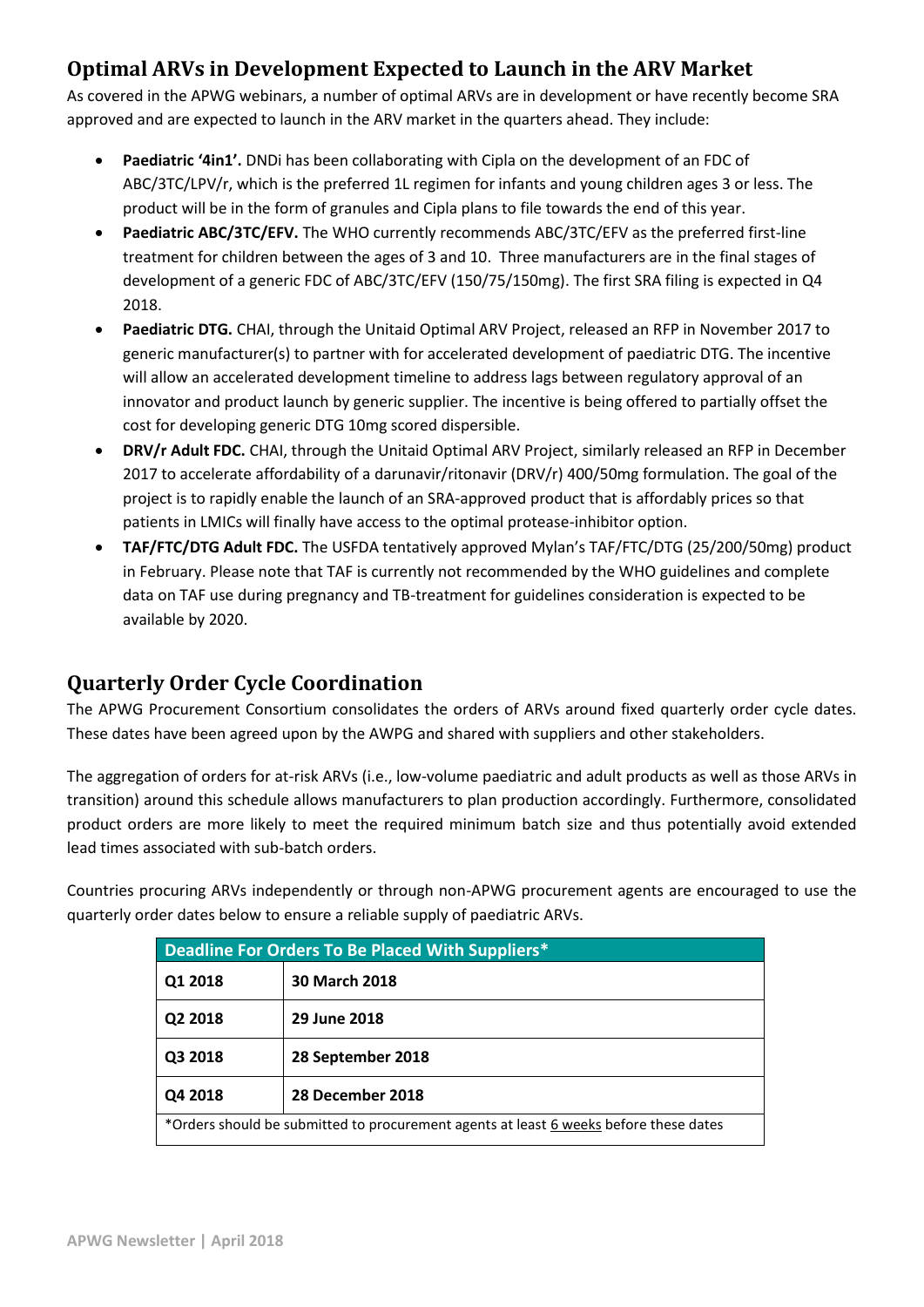# **Optimal ARVs in Development Expected to Launch in the ARV Market**

As covered in the APWG webinars, a number of optimal ARVs are in development or have recently become SRA approved and are expected to launch in the ARV market in the quarters ahead. They include:

- **Paediatric '4in1'.** DNDi has been collaborating with Cipla on the development of an FDC of ABC/3TC/LPV/r, which is the preferred 1L regimen for infants and young children ages 3 or less. The product will be in the form of granules and Cipla plans to file towards the end of this year.
- **Paediatric ABC/3TC/EFV.** The WHO currently recommends ABC/3TC/EFV as the preferred first-line treatment for children between the ages of 3 and 10. Three manufacturers are in the final stages of development of a generic FDC of ABC/3TC/EFV (150/75/150mg). The first SRA filing is expected in Q4 2018.
- **Paediatric DTG.** CHAI, through the Unitaid Optimal ARV Project, released an RFP in November 2017 to generic manufacturer(s) to partner with for accelerated development of paediatric DTG. The incentive will allow an accelerated development timeline to address lags between regulatory approval of an innovator and product launch by generic supplier. The incentive is being offered to partially offset the cost for developing generic DTG 10mg scored dispersible.
- **DRV/r Adult FDC.** CHAI, through the Unitaid Optimal ARV Project, similarly released an RFP in December 2017 to accelerate affordability of a darunavir/ritonavir (DRV/r) 400/50mg formulation. The goal of the project is to rapidly enable the launch of an SRA-approved product that is affordably prices so that patients in LMICs will finally have access to the optimal protease-inhibitor option.
- **TAF/FTC/DTG Adult FDC.** The USFDA tentatively approved Mylan's TAF/FTC/DTG (25/200/50mg) product in February. Please note that TAF is currently not recommended by the WHO guidelines and complete data on TAF use during pregnancy and TB-treatment for guidelines consideration is expected to be available by 2020.

# **Quarterly Order Cycle Coordination**

The APWG Procurement Consortium consolidates the orders of ARVs around fixed quarterly order cycle dates. These dates have been agreed upon by the AWPG and shared with suppliers and other stakeholders.

The aggregation of orders for at-risk ARVs (i.e., low-volume paediatric and adult products as well as those ARVs in transition) around this schedule allows manufacturers to plan production accordingly. Furthermore, consolidated product orders are more likely to meet the required minimum batch size and thus potentially avoid extended lead times associated with sub-batch orders.

Countries procuring ARVs independently or through non-APWG procurement agents are encouraged to use the quarterly order dates below to ensure a reliable supply of paediatric ARVs.

| Deadline For Orders To Be Placed With Suppliers*                                      |                      |  |
|---------------------------------------------------------------------------------------|----------------------|--|
| Q1 2018                                                                               | <b>30 March 2018</b> |  |
| Q2 2018                                                                               | 29 June 2018         |  |
| Q3 2018                                                                               | 28 September 2018    |  |
| Q4 2018                                                                               | 28 December 2018     |  |
| *Orders should be submitted to procurement agents at least 6 weeks before these dates |                      |  |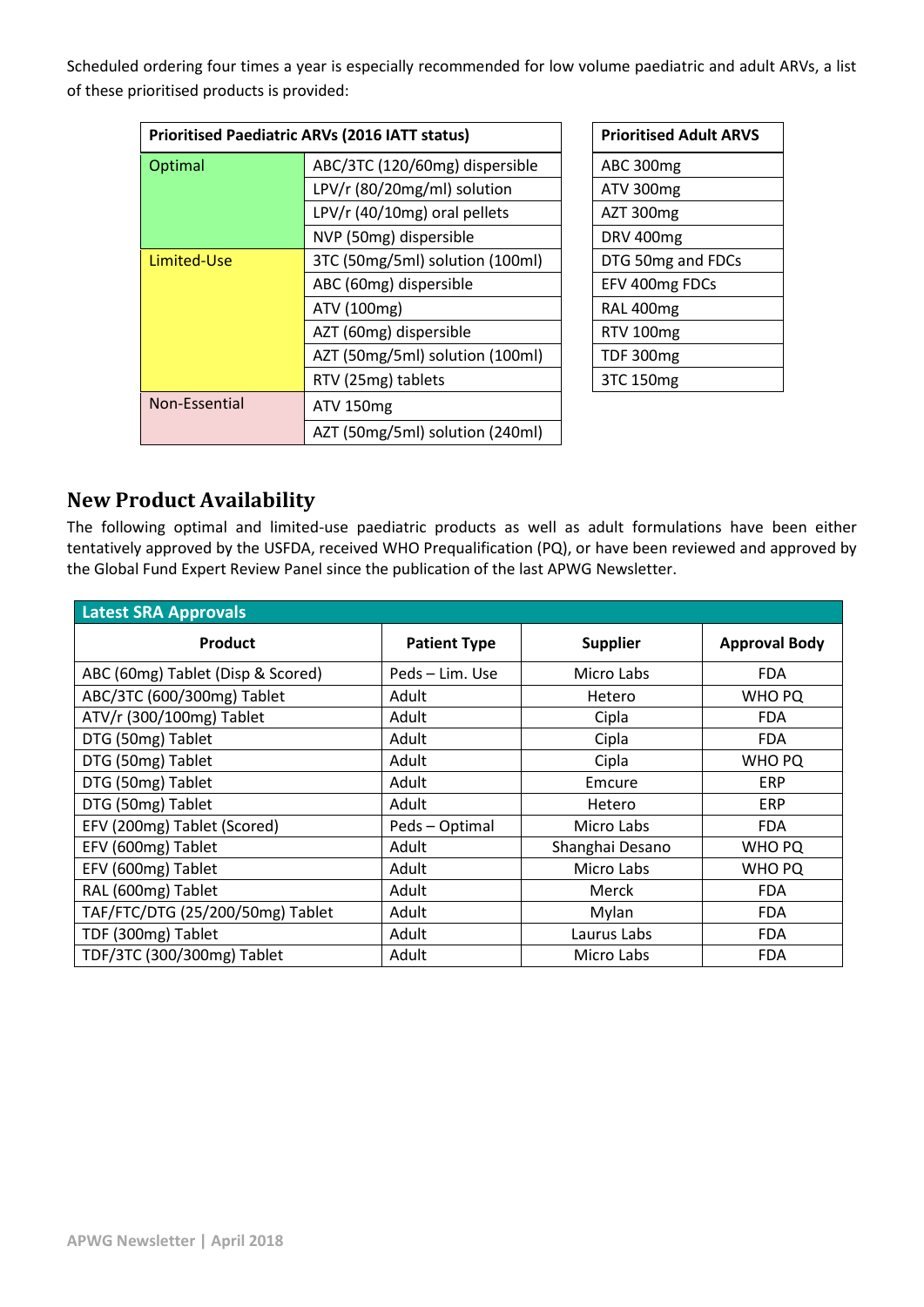Scheduled ordering four times a year is especially recommended for low volume paediatric and adult ARVs, a list of these prioritised products is provided:

| <b>Prioritised Paediatric ARVs (2016 IATT status)</b> |                                                             |  | <b>Prioritised Adult ARVS</b> |
|-------------------------------------------------------|-------------------------------------------------------------|--|-------------------------------|
| ABC/3TC (120/60mg) dispersible<br><b>Optimal</b>      |                                                             |  | ABC 300mg                     |
|                                                       | LPV/r (80/20mg/ml) solution<br>LPV/r (40/10mg) oral pellets |  | ATV 300mg                     |
|                                                       |                                                             |  | AZT 300mg                     |
|                                                       | NVP (50mg) dispersible                                      |  | <b>DRV 400mg</b>              |
| Limited-Use                                           | 3TC (50mg/5ml) solution (100ml)                             |  | DTG 50mg and FDCs             |
| ABC (60mg) dispersible                                |                                                             |  | EFV 400mg FDCs                |
|                                                       | ATV (100mg)                                                 |  | RAL 400mg                     |
|                                                       | AZT (60mg) dispersible                                      |  | RTV 100mg                     |
| AZT (50mg/5ml) solution (100ml)                       |                                                             |  | <b>TDF 300mg</b>              |
|                                                       | RTV (25mg) tablets                                          |  | 3TC 150mg                     |
| Non-Essential                                         | <b>ATV 150mg</b>                                            |  |                               |
|                                                       | AZT (50mg/5ml) solution (240ml)                             |  |                               |

| <b>Prioritised Adult ARVS</b> |
|-------------------------------|
| ABC 300mg                     |
| ATV 300mg                     |
| AZT 300mg                     |
| DRV 400mg                     |
| DTG 50mg and FDCs             |
| EFV 400mg FDCs                |
| RAL 400mg                     |
| <b>RTV 100mg</b>              |
| <b>TDF 300mg</b>              |
| 3TC 150mg                     |

## **New Product Availability**

The following optimal and limited-use paediatric products as well as adult formulations have been either tentatively approved by the USFDA, received WHO Prequalification (PQ), or have been reviewed and approved by the Global Fund Expert Review Panel since the publication of the last APWG Newsletter.

| <b>Latest SRA Approvals</b>       |                     |                 |                      |  |
|-----------------------------------|---------------------|-----------------|----------------------|--|
| <b>Product</b>                    | <b>Patient Type</b> | <b>Supplier</b> | <b>Approval Body</b> |  |
| ABC (60mg) Tablet (Disp & Scored) | Peds – Lim. Use     | Micro Labs      | <b>FDA</b>           |  |
| ABC/3TC (600/300mg) Tablet        | Adult               | Hetero          | <b>WHO PQ</b>        |  |
| ATV/r (300/100mg) Tablet          | Adult               | Cipla           | <b>FDA</b>           |  |
| DTG (50mg) Tablet                 | Adult               | Cipla           | <b>FDA</b>           |  |
| DTG (50mg) Tablet                 | Adult               | Cipla           | <b>WHO PQ</b>        |  |
| DTG (50mg) Tablet                 | Adult               | Emcure          | <b>ERP</b>           |  |
| DTG (50mg) Tablet                 | Adult               | Hetero          | <b>ERP</b>           |  |
| EFV (200mg) Tablet (Scored)       | Peds - Optimal      | Micro Labs      | <b>FDA</b>           |  |
| EFV (600mg) Tablet                | Adult               | Shanghai Desano | <b>WHO PQ</b>        |  |
| EFV (600mg) Tablet                | Adult               | Micro Labs      | <b>WHO PQ</b>        |  |
| RAL (600mg) Tablet                | Adult               | Merck           | <b>FDA</b>           |  |
| TAF/FTC/DTG (25/200/50mg) Tablet  | Adult               | Mylan           | <b>FDA</b>           |  |
| TDF (300mg) Tablet                | Adult               | Laurus Labs     | <b>FDA</b>           |  |
| TDF/3TC (300/300mg) Tablet        | Adult               | Micro Labs      | <b>FDA</b>           |  |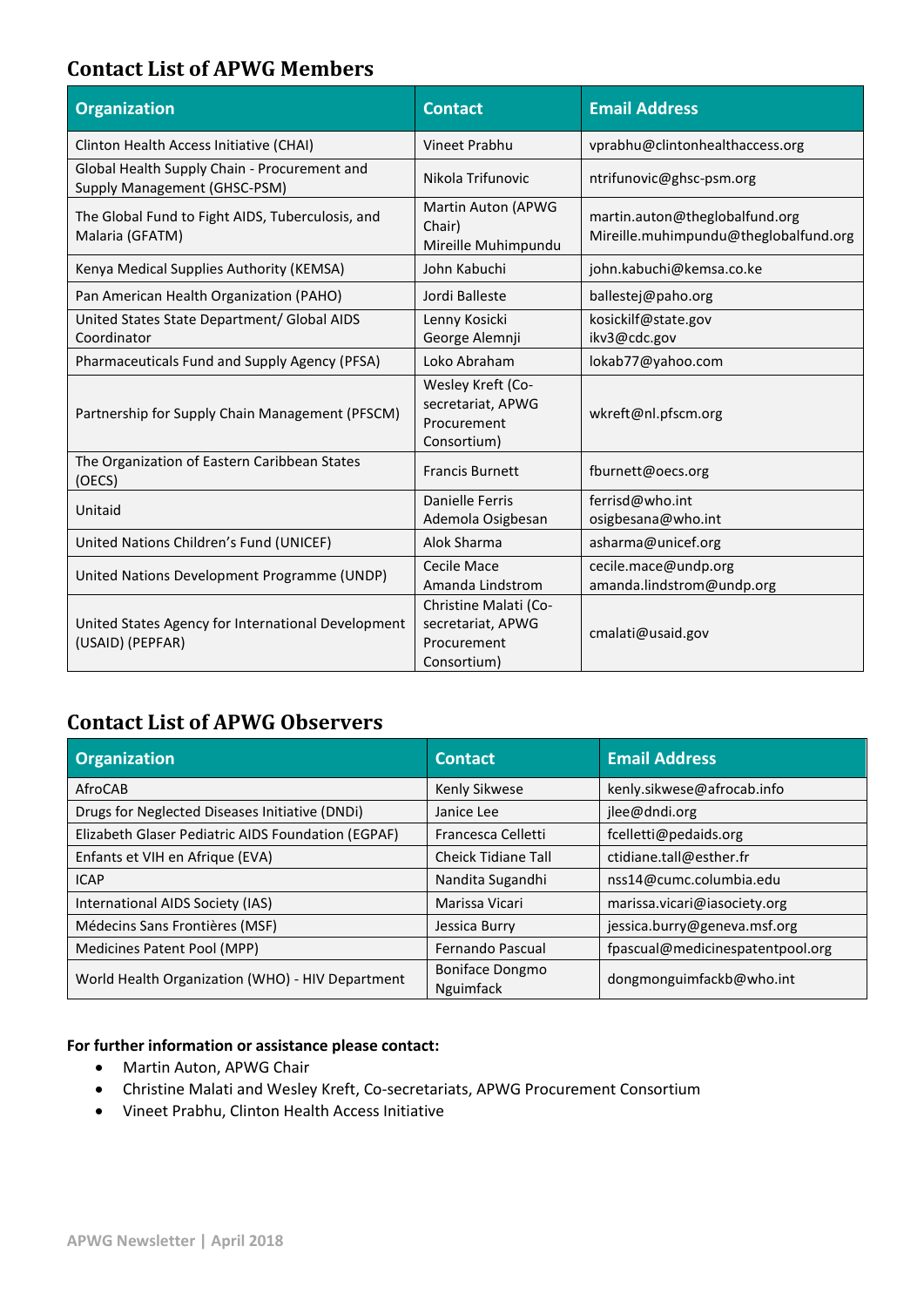# **Contact List of APWG Members**

| <b>Organization</b>                                                          | <b>Contact</b>                                                           | <b>Email Address</b>                                                    |
|------------------------------------------------------------------------------|--------------------------------------------------------------------------|-------------------------------------------------------------------------|
| Clinton Health Access Initiative (CHAI)                                      | <b>Vineet Prabhu</b>                                                     | vprabhu@clintonhealthaccess.org                                         |
| Global Health Supply Chain - Procurement and<br>Supply Management (GHSC-PSM) | Nikola Trifunovic                                                        | ntrifunovic@ghsc-psm.org                                                |
| The Global Fund to Fight AIDS, Tuberculosis, and<br>Malaria (GFATM)          | Martin Auton (APWG<br>Chair)<br>Mireille Muhimpundu                      | martin.auton@theglobalfund.org<br>Mireille.muhimpundu@theglobalfund.org |
| Kenya Medical Supplies Authority (KEMSA)                                     | John Kabuchi                                                             | john.kabuchi@kemsa.co.ke                                                |
| Pan American Health Organization (PAHO)                                      | Jordi Balleste                                                           | ballestej@paho.org                                                      |
| United States State Department/ Global AIDS<br>Coordinator                   | Lenny Kosicki<br>George Alemnji                                          | kosickilf@state.gov<br>ikv3@cdc.gov                                     |
| Pharmaceuticals Fund and Supply Agency (PFSA)                                | Loko Abraham                                                             | lokab77@yahoo.com                                                       |
| Partnership for Supply Chain Management (PFSCM)                              | Wesley Kreft (Co-<br>secretariat, APWG<br>Procurement<br>Consortium)     | wkreft@nl.pfscm.org                                                     |
| The Organization of Eastern Caribbean States<br>(OECS)                       | <b>Francis Burnett</b>                                                   | fburnett@oecs.org                                                       |
| Unitaid                                                                      | Danielle Ferris<br>Ademola Osigbesan                                     | ferrisd@who.int<br>osigbesana@who.int                                   |
| United Nations Children's Fund (UNICEF)                                      | Alok Sharma                                                              | asharma@unicef.org                                                      |
| United Nations Development Programme (UNDP)                                  | Cecile Mace<br>Amanda Lindstrom                                          | cecile.mace@undp.org<br>amanda.lindstrom@undp.org                       |
| United States Agency for International Development<br>(USAID) (PEPFAR)       | Christine Malati (Co-<br>secretariat, APWG<br>Procurement<br>Consortium) | cmalati@usaid.gov                                                       |

# **Contact List of APWG Observers**

| <b>Organization</b>                                | <b>Contact</b>               | <b>Email Address</b>             |
|----------------------------------------------------|------------------------------|----------------------------------|
| AfroCAB                                            | Kenly Sikwese                | kenly.sikwese@afrocab.info       |
| Drugs for Neglected Diseases Initiative (DNDi)     | Janice Lee                   | jlee@dndi.org                    |
| Elizabeth Glaser Pediatric AIDS Foundation (EGPAF) | Francesca Celletti           | fcelletti@pedaids.org            |
| Enfants et VIH en Afrique (EVA)                    | <b>Cheick Tidiane Tall</b>   | ctidiane.tall@esther.fr          |
| <b>ICAP</b>                                        | Nandita Sugandhi             | nss14@cumc.columbia.edu          |
| International AIDS Society (IAS)                   | Marissa Vicari               | marissa.vicari@iasociety.org     |
| Médecins Sans Frontières (MSF)                     | Jessica Burry                | jessica.burry@geneva.msf.org     |
| Medicines Patent Pool (MPP)                        | Fernando Pascual             | fpascual@medicinespatentpool.org |
| World Health Organization (WHO) - HIV Department   | Boniface Dongmo<br>Nguimfack | dongmonguimfackb@who.int         |

#### **For further information or assistance please contact:**

- Martin Auton, APWG Chair
- Christine Malati and Wesley Kreft, Co-secretariats, APWG Procurement Consortium
- Vineet Prabhu, Clinton Health Access Initiative